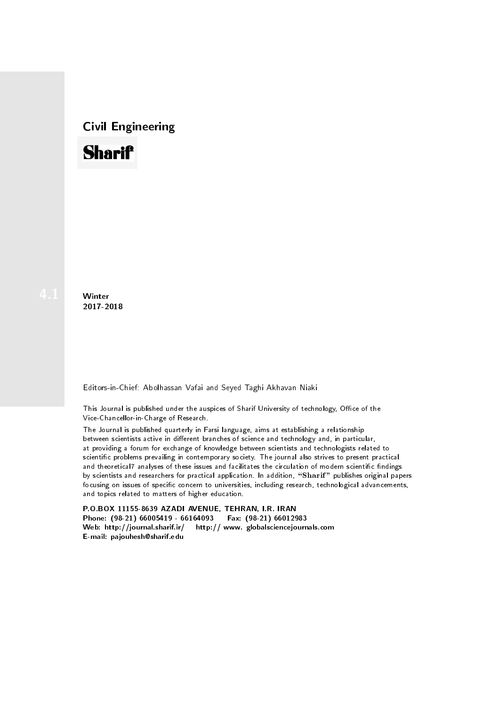## Civil Engineering



**Winter** 2017-2018

Editors-in-Chief: Abolhassan Vafai and Seyed Taghi Akhavan Niaki

This Journal is published under the auspices of Sharif University of technology, Office of the Vice-Chancellor-in-Charge of Research.

The Journal is published quarterly in Farsi language, aims at establishing a relationship between scientists active in different branches of science and technology and, in particular, at providing a forum for exchange of knowledge between scientists and technologists related to scientic problems prevailing in contemporary society. The journal also strives to present practical and theoretical7 analyses of these issues and facilitates the circulation of modern scientific findings by scientists and researchers for practical application. In addition, "Sharif" publishes original papers focusing on issues of specific concern to universities, including research, technological advancements, and topics related to matters of higher education.

P.O.BOX 11155-8639 AZADI AVENUE, TEHRAN, I.R. IRAN Phone: (98-21) 66005419 - 66164093 Fax: (98-21) 66012983 Web: http://journal.sharif.ir/ http:// www. globalsciencejournals.com E-mail: pajouhesh@sharif.edu